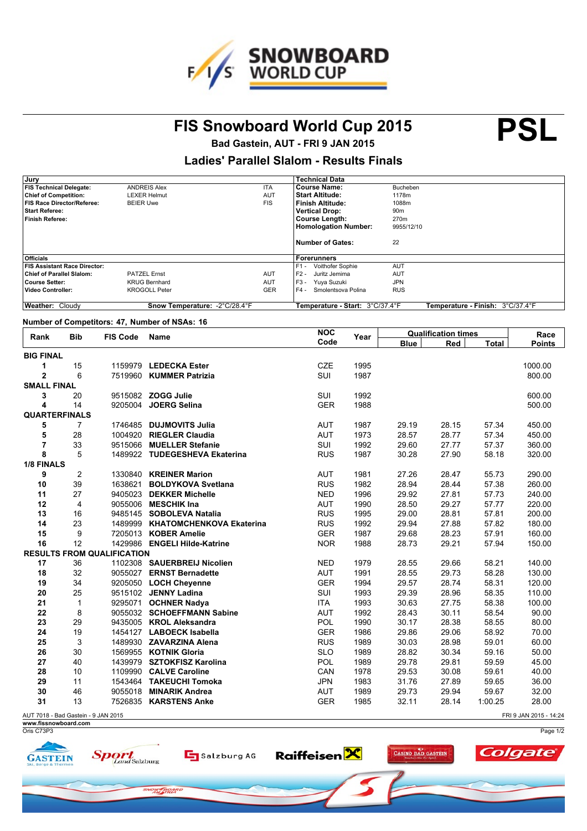

FIS Snowboard World Cup 2015 **PSL** 

**Bad Gastein, AUT - FRI 9 JAN 2015**

## **Ladies' Parallel Slalom - Results Finals**

| , Jury                              |                               |            | Technical Data                  |                                  |
|-------------------------------------|-------------------------------|------------|---------------------------------|----------------------------------|
| <b>FIS Technical Delegate:</b>      | <b>ANDREIS Alex</b>           | <b>ITA</b> | <b>Course Name:</b>             | Bucheben                         |
| <b>Chief of Competition:</b>        | <b>LEXER Helmut</b>           | <b>AUT</b> | <b>Start Altitude:</b>          | 1178m                            |
| <b>FIS Race Director/Referee:</b>   | <b>BEIER Uwe</b>              | <b>FIS</b> | Finish Altitude:                | 1088m                            |
| <b>Start Referee:</b>               |                               |            | <b>Vertical Drop:</b>           | 90 <sub>m</sub>                  |
| <b>Finish Referee:</b>              |                               |            | <b>Course Length:</b>           | 270m                             |
|                                     |                               |            | <b>Homologation Number:</b>     | 9955/12/10                       |
|                                     |                               |            | <b>Number of Gates:</b>         | 22                               |
| <b>Officials</b>                    |                               |            | Forerunners                     |                                  |
| <b>FIS Assistant Race Director:</b> |                               |            | $F1 -$<br>Voithofer Sophie      | <b>AUT</b>                       |
| <b>Chief of Parallel Slalom:</b>    | <b>PATZEL Ernst</b>           | <b>AUT</b> | $F2 -$<br>Juritz Jemima         | <b>AUT</b>                       |
| <b>Course Setter:</b>               | <b>KRUG Bernhard</b>          | <b>AUT</b> | $F3 -$<br>Yuya Suzuki           | <b>JPN</b>                       |
| <b>Video Controller:</b>            | <b>KROGOLL Peter</b>          | <b>GER</b> | $F4 -$<br>Smolentsova Polina    | <b>RUS</b>                       |
| Weather: Cloudy                     | Snow Temperature: -2°C/28.4°F |            | Temperature - Start: 3°C/37.4°F | Temperature - Finish: 3°C/37.4°F |

### **Number of Competitors: 47, Number of NSAs: 16**

| <b>Bib</b><br>Rank   |                                     | <b>FIS Code</b>                   | <b>Name</b>                      | <b>NOC</b> | Year | <b>Qualification times</b> |       |              | Race                   |
|----------------------|-------------------------------------|-----------------------------------|----------------------------------|------------|------|----------------------------|-------|--------------|------------------------|
|                      |                                     |                                   |                                  | Code       |      | <b>Blue</b>                | Red   | <b>Total</b> | <b>Points</b>          |
| <b>BIG FINAL</b>     |                                     |                                   |                                  |            |      |                            |       |              |                        |
| 1                    | 15                                  |                                   | 1159979 LEDECKA Ester            | <b>CZE</b> | 1995 |                            |       |              | 1000.00                |
| $\overline{2}$       | 6                                   |                                   | 7519960 KUMMER Patrizia          | SUI        | 1987 |                            |       |              | 800.00                 |
| <b>SMALL FINAL</b>   |                                     |                                   |                                  |            |      |                            |       |              |                        |
| 3                    | 20                                  |                                   | 9515082 ZOGG Julie               | SUI        | 1992 |                            |       |              | 600.00                 |
| 4                    | 14                                  |                                   | 9205004 JOERG Selina             | <b>GER</b> | 1988 |                            |       |              | 500.00                 |
| <b>QUARTERFINALS</b> |                                     |                                   |                                  |            |      |                            |       |              |                        |
| 5                    | 7                                   |                                   | 1746485 DUJMOVITS Julia          | <b>AUT</b> | 1987 | 29.19                      | 28.15 | 57.34        | 450.00                 |
| 5                    | 28                                  |                                   | 1004920 RIEGLER Claudia          | <b>AUT</b> | 1973 | 28.57                      | 28.77 | 57.34        | 450.00                 |
| $\overline{7}$       | 33                                  |                                   | 9515066 MUELLER Stefanie         | SUI        | 1992 | 29.60                      | 27.77 | 57.37        | 360.00                 |
| 8                    | 5                                   |                                   | 1489922 TUDEGESHEVA Ekaterina    | <b>RUS</b> | 1987 | 30.28                      | 27.90 | 58.18        | 320.00                 |
| 1/8 FINALS           |                                     |                                   |                                  |            |      |                            |       |              |                        |
| 9                    | $\overline{c}$                      |                                   | 1330840 KREINER Marion           | <b>AUT</b> | 1981 | 27.26                      | 28.47 | 55.73        | 290.00                 |
| 10                   | 39                                  |                                   | 1638621 BOLDYKOVA Svetlana       | <b>RUS</b> | 1982 | 28.94                      | 28.44 | 57.38        | 260.00                 |
| 11                   | 27                                  |                                   | 9405023 DEKKER Michelle          | <b>NED</b> | 1996 | 29.92                      | 27.81 | 57.73        | 240.00                 |
| 12                   | 4                                   |                                   | 9055006 MESCHIK Ina              | <b>AUT</b> | 1990 | 28.50                      | 29.27 | 57.77        | 220.00                 |
| 13                   | 16                                  |                                   | 9485145 SOBOLEVA Natalia         | <b>RUS</b> | 1995 | 29.00                      | 28.81 | 57.81        | 200.00                 |
| 14                   | 23                                  |                                   | 1489999 KHATOMCHENKOVA Ekaterina | <b>RUS</b> | 1992 | 29.94                      | 27.88 | 57.82        | 180.00                 |
| 15                   | 9                                   |                                   | 7205013 KOBER Amelie             | <b>GER</b> | 1987 | 29.68                      | 28.23 | 57.91        | 160.00                 |
| 16                   | 12                                  |                                   | 1429986 ENGELI Hilde-Katrine     | <b>NOR</b> | 1988 | 28.73                      | 29.21 | 57.94        | 150.00                 |
|                      |                                     | <b>RESULTS FROM QUALIFICATION</b> |                                  |            |      |                            |       |              |                        |
| 17                   | 36                                  |                                   | 1102308 SAUERBREIJ Nicolien      | <b>NED</b> | 1979 | 28.55                      | 29.66 | 58.21        | 140.00                 |
| 18                   | 32                                  |                                   | 9055027 ERNST Bernadette         | <b>AUT</b> | 1991 | 28.55                      | 29.73 | 58.28        | 130.00                 |
| 19                   | 34                                  |                                   | 9205050 LOCH Cheyenne            | <b>GER</b> | 1994 | 29.57                      | 28.74 | 58.31        | 120.00                 |
| 20                   | 25                                  |                                   | 9515102 JENNY Ladina             | SUI        | 1993 | 29.39                      | 28.96 | 58.35        | 110.00                 |
| 21                   | $\mathbf{1}$                        |                                   | 9295071 OCHNER Nadya             | <b>ITA</b> | 1993 | 30.63                      | 27.75 | 58.38        | 100.00                 |
| 22                   | 8                                   |                                   | 9055032 SCHOEFFMANN Sabine       | <b>AUT</b> | 1992 | 28.43                      | 30.11 | 58.54        | 90.00                  |
| 23                   | 29                                  |                                   | 9435005 KROL Aleksandra          | POL        | 1990 | 30.17                      | 28.38 | 58.55        | 80.00                  |
| 24                   | 19                                  |                                   | 1454127 LABOECK Isabella         | <b>GER</b> | 1986 | 29.86                      | 29.06 | 58.92        | 70.00                  |
| 25                   | 3                                   |                                   | 1489930 ZAVARZINA Alena          | <b>RUS</b> | 1989 | 30.03                      | 28.98 | 59.01        | 60.00                  |
| 26                   | 30                                  |                                   | 1569955 KOTNIK Gloria            | <b>SLO</b> | 1989 | 28.82                      | 30.34 | 59.16        | 50.00                  |
| 27                   | 40                                  |                                   | 1439979 SZTOKFISZ Karolina       | POL        | 1989 | 29.78                      | 29.81 | 59.59        | 45.00                  |
| 28                   | 10                                  |                                   | 1109990 CALVE Caroline           | CAN        | 1978 | 29.53                      | 30.08 | 59.61        | 40.00                  |
| 29                   | 11                                  |                                   | 1543464 TAKEUCHI Tomoka          | <b>JPN</b> | 1983 | 31.76                      | 27.89 | 59.65        | 36.00                  |
| 30                   | 46                                  |                                   | 9055018 MINARIK Andrea           | <b>AUT</b> | 1989 | 29.73                      | 29.94 | 59.67        | 32.00                  |
| 31                   | 13                                  |                                   | 7526835 KARSTENS Anke            | <b>GER</b> | 1985 | 32.11                      | 28.14 | 1:00.25      | 28.00                  |
|                      | AUT 7018 - Bad Gastein - 9 JAN 2015 |                                   |                                  |            |      |                            |       |              | FRI 9 JAN 2015 - 14:24 |

AUT 7018 - Bad Gastein - 9 JAN 2015 **www.fissnowboard.com**

Oris C73P3

Page 1/2 **Raiffeisen Colgate Sport** CASINO BAD GASTEIN Salzburg AG **GASTEIN** SNOW BOARD